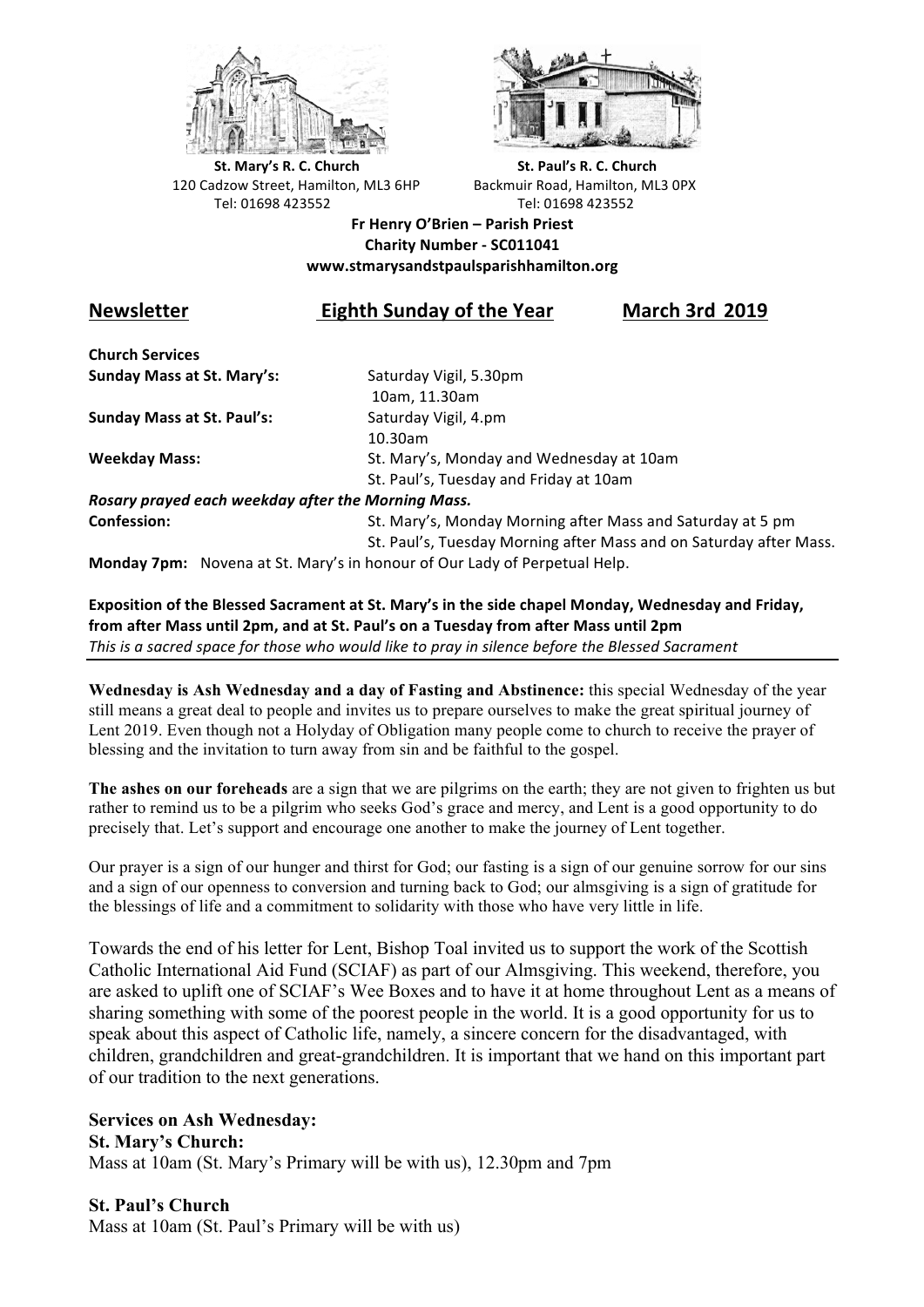



**St.** Mary's R. C. Church St. Paul's R. C. Church 120 Cadzow Street, Hamilton, ML3 6HP Backmuir Road, Hamilton, ML3 0PX Tel: 01698 423552 Tel: 01698 423552

## **Fr Henry O'Brien – Parish Priest Charity Number - SC011041 www.stmarysandstpaulsparishhamilton.org**

## **Newsletter Eighth Sunday of the Year March 3rd 2019**

**Church Services Sunday Mass at St. Mary's:** Saturday Vigil, 5.30pm

**Sunday Mass at St. Paul's:** Saturday Vigil, 4.pm

 10am, 11.30am 10.30am **Weekday Mass:** St. Mary's, Monday and Wednesday at 10am St. Paul's, Tuesday and Friday at 10am

*Rosary prayed each weekday after the Morning Mass.* **Confession:** St. Mary's, Monday Morning after Mass and Saturday at 5 pm

St. Paul's, Tuesday Morning after Mass and on Saturday after Mass.

**Monday 7pm:** Novena at St. Mary's in honour of Our Lady of Perpetual Help.

Exposition of the Blessed Sacrament at St. Mary's in the side chapel Monday, Wednesday and Friday, from after Mass until 2pm, and at St. Paul's on a Tuesday from after Mass until 2pm This is a sacred space for those who would like to pray in silence before the Blessed Sacrament

**Wednesday is Ash Wednesday and a day of Fasting and Abstinence:** this special Wednesday of the year still means a great deal to people and invites us to prepare ourselves to make the great spiritual journey of Lent 2019. Even though not a Holyday of Obligation many people come to church to receive the prayer of blessing and the invitation to turn away from sin and be faithful to the gospel.

**The ashes on our foreheads** are a sign that we are pilgrims on the earth; they are not given to frighten us but rather to remind us to be a pilgrim who seeks God's grace and mercy, and Lent is a good opportunity to do precisely that. Let's support and encourage one another to make the journey of Lent together.

Our prayer is a sign of our hunger and thirst for God; our fasting is a sign of our genuine sorrow for our sins and a sign of our openness to conversion and turning back to God; our almsgiving is a sign of gratitude for the blessings of life and a commitment to solidarity with those who have very little in life.

Towards the end of his letter for Lent, Bishop Toal invited us to support the work of the Scottish Catholic International Aid Fund (SCIAF) as part of our Almsgiving. This weekend, therefore, you are asked to uplift one of SCIAF's Wee Boxes and to have it at home throughout Lent as a means of sharing something with some of the poorest people in the world. It is a good opportunity for us to speak about this aspect of Catholic life, namely, a sincere concern for the disadvantaged, with children, grandchildren and great-grandchildren. It is important that we hand on this important part of our tradition to the next generations.

## **Services on Ash Wednesday:**

**St. Mary's Church:**

Mass at 10am (St. Mary's Primary will be with us), 12.30pm and 7pm

**St. Paul's Church** Mass at 10am (St. Paul's Primary will be with us)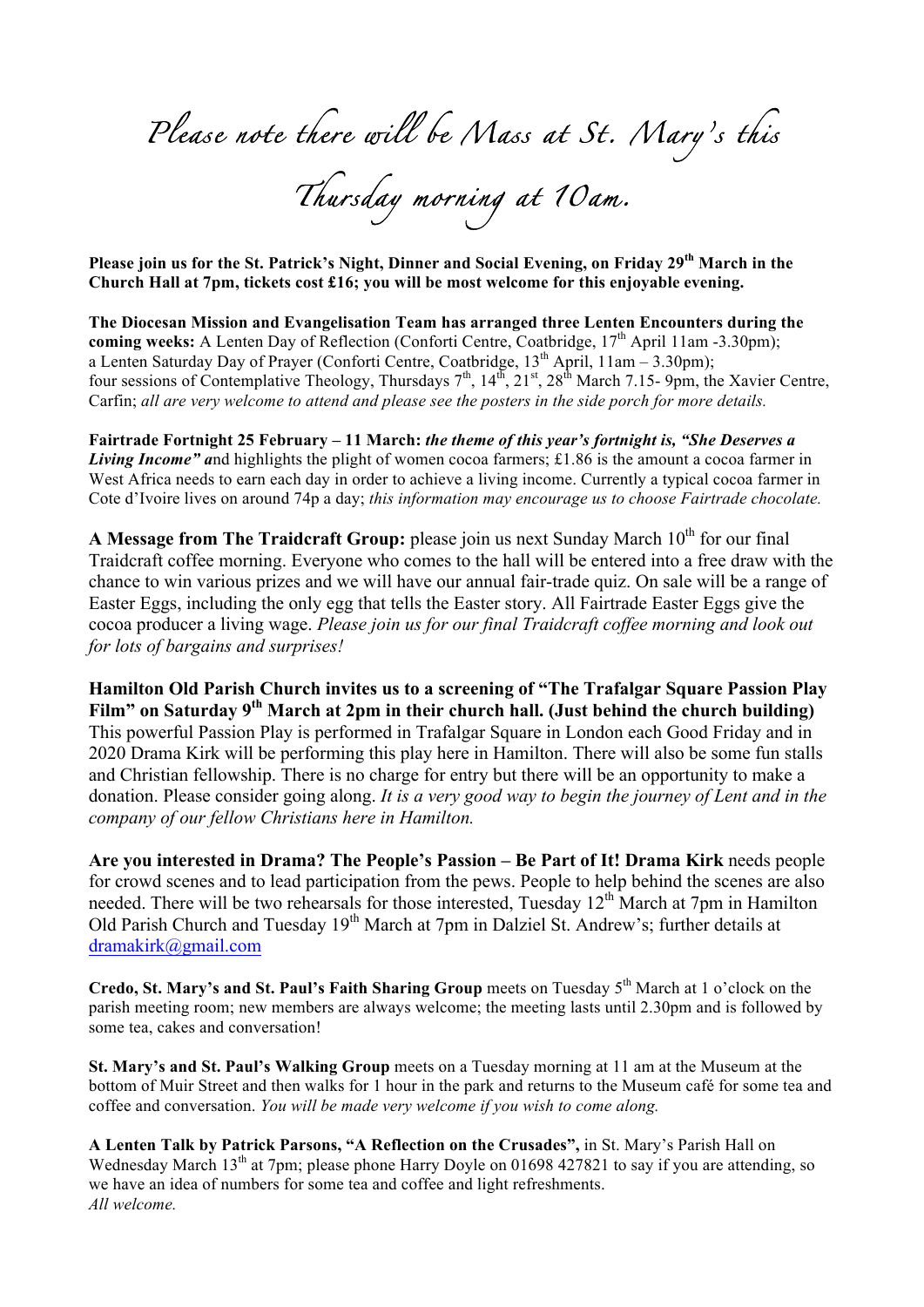*Please note there will be Mass at St. Mary's this* 

*Thursday morning at 10am.* 

**Please join us for the St. Patrick's Night, Dinner and Social Evening, on Friday 29th March in the Church Hall at 7pm, tickets cost £16; you will be most welcome for this enjoyable evening.**

**The Diocesan Mission and Evangelisation Team has arranged three Lenten Encounters during the coming weeks:** A Lenten Day of Reflection (Conforti Centre, Coatbridge, 17<sup>th</sup> April 11am -3.30pm); a Lenten Saturday Day of Prayer (Conforti Centre, Coatbridge,  $13<sup>th</sup>$  April,  $11am - 3.30pm$ ); four sessions of Contemplative Theology, Thursdays  $7<sup>th</sup>$ ,  $14<sup>th</sup>$ ,  $21<sup>st</sup>$ ,  $28<sup>th</sup>$  March 7.15- 9pm, the Xavier Centre, Carfin; *all are very welcome to attend and please see the posters in the side porch for more details.*

**Fairtrade Fortnight 25 February – 11 March:** *the theme of this year's fortnight is, "She Deserves a Living Income"* and highlights the plight of women cocoa farmers; £1.86 is the amount a cocoa farmer in West Africa needs to earn each day in order to achieve a living income. Currently a typical cocoa farmer in Cote d'Ivoire lives on around 74p a day; *this information may encourage us to choose Fairtrade chocolate.*

**A Message from The Traidcraft Group:** please join us next Sunday March 10<sup>th</sup> for our final Traidcraft coffee morning. Everyone who comes to the hall will be entered into a free draw with the chance to win various prizes and we will have our annual fair-trade quiz. On sale will be a range of Easter Eggs, including the only egg that tells the Easter story. All Fairtrade Easter Eggs give the cocoa producer a living wage. *Please join us for our final Traidcraft coffee morning and look out for lots of bargains and surprises!*

**Hamilton Old Parish Church invites us to a screening of "The Trafalgar Square Passion Play Film" on Saturday 9th March at 2pm in their church hall. (Just behind the church building)**  This powerful Passion Play is performed in Trafalgar Square in London each Good Friday and in 2020 Drama Kirk will be performing this play here in Hamilton. There will also be some fun stalls and Christian fellowship. There is no charge for entry but there will be an opportunity to make a donation. Please consider going along. *It is a very good way to begin the journey of Lent and in the company of our fellow Christians here in Hamilton.*

**Are you interested in Drama? The People's Passion – Be Part of It! Drama Kirk** needs people for crowd scenes and to lead participation from the pews. People to help behind the scenes are also needed. There will be two rehearsals for those interested, Tuesday 12<sup>th</sup> March at 7pm in Hamilton Old Parish Church and Tuesday 19<sup>th</sup> March at 7pm in Dalziel St. Andrew's; further details at dramakirk@gmail.com

**Credo, St. Mary's and St. Paul's Faith Sharing Group** meets on Tuesday 5<sup>th</sup> March at 1 o'clock on the parish meeting room; new members are always welcome; the meeting lasts until 2.30pm and is followed by some tea, cakes and conversation!

**St. Mary's and St. Paul's Walking Group** meets on a Tuesday morning at 11 am at the Museum at the bottom of Muir Street and then walks for 1 hour in the park and returns to the Museum café for some tea and coffee and conversation. *You will be made very welcome if you wish to come along.*

**A Lenten Talk by Patrick Parsons, "A Reflection on the Crusades",** in St. Mary's Parish Hall on Wednesday March 13<sup>th</sup> at 7pm; please phone Harry Doyle on 01698 427821 to say if you are attending, so we have an idea of numbers for some tea and coffee and light refreshments. *All welcome.*